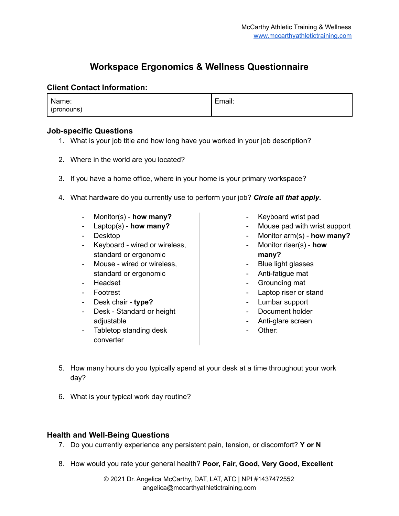## **Workspace Ergonomics & Wellness Questionnaire**

## **Client Contact Information:**

| Name:      | Email: |
|------------|--------|
| (pronouns) |        |

## **Job-specific Questions**

- 1. What is your job title and how long have you worked in your job description?
- 2. Where in the world are you located?
- 3. If you have a home office, where in your home is your primary workspace?
- 4. What hardware do you currently use to perform your job? *Circle all that apply***.**
	- Monitor(s) **how many?**
	- Laptop(s) **how many?**
	- Desktop
	- Keyboard wired or wireless, standard or ergonomic
	- Mouse wired or wireless, standard or ergonomic
	- Headset
	- Footrest
	- Desk chair **type?**
	- Desk Standard or height adiustable
	- Tabletop standing desk converter
- Keyboard wrist pad
- Mouse pad with wrist support
- Monitor arm(s) **how many?**
- Monitor riser(s) **how many?**
- Blue light glasses
- Anti-fatigue mat
- Grounding mat
- Laptop riser or stand
- Lumbar support
- Document holder
- Anti-glare screen
- Other:
- 5. How many hours do you typically spend at your desk at a time throughout your work day?
- 6. What is your typical work day routine?

## **Health and Well-Being Questions**

- 7. Do you currently experience any persistent pain, tension, or discomfort? **Y or N**
- 8. How would you rate your general health? **Poor, Fair, Good, Very Good, Excellent**